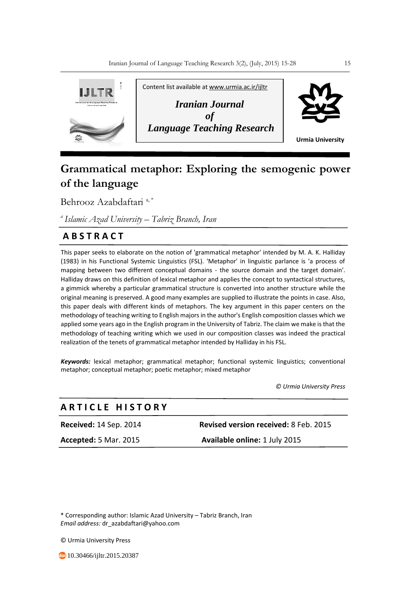

# **Grammatical metaphor: Exploring the semogenic power of the language**

Behrooz Azabdaftari<sup>a,\*</sup>

*<sup>a</sup>Islamic Azad University – Tabriz Branch, Iran*

# **A B S T R A C T**

This paper seeks to elaborate on the notion of 'grammatical metaphor' intended by M. A. K. Halliday (1983) in his Functional Systemic Linguistics (FSL). 'Metaphor' in linguistic parlance is 'a process of mapping between two different conceptual domains - the source domain and the target domain'. Halliday draws on this definition of lexical metaphor and applies the concept to syntactical structures, a gimmick whereby a particular grammatical structure is converted into another structure while the original meaning is preserved. A good many examples are supplied to illustrate the points in case. Also, this paper deals with different kinds of metaphors. The key argument in this paper centers on the methodology of teaching writing to English majors in the author's English composition classes which we applied some years ago in the English program in the University of Tabriz. The claim we make is that the methodology of teaching writing which we used in our composition classes was indeed the practical realization of the tenets of grammatical metaphor intended by Halliday in his FSL.

*Keywords:* lexical metaphor; grammatical metaphor; functional systemic linguistics; conventional metaphor; conceptual metaphor; poetic metaphor; mixed metaphor

 *© Urmia University Press*

# **A R T I C L E H I S T O R Y**

**Received:** 14 Sep. 2014 **Revised version received:** 8 Feb. 2015

**Accepted:** 5 Mar. 2015 **Available online:** 1 July 2015

\* Corresponding author: Islamic Azad University – Tabriz Branch, Iran *Email address:* dr\_azabdaftari@yahoo.com

© Urmia University Press

**10.30466/ijltr.2015.20387**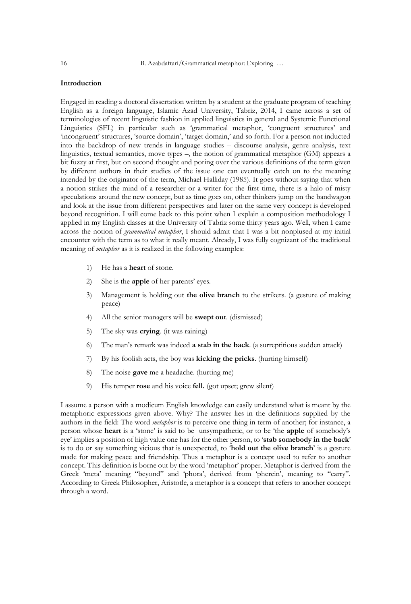# **Introduction**

Engaged in reading a doctoral dissertation written by a student at the graduate program of teaching English as a foreign language, Islamic Azad University, Tabriz, 2014, I came across a set of terminologies of recent linguistic fashion in applied linguistics in general and Systemic Functional Linguistics (SFL) in particular such as 'grammatical metaphor, 'congruent structures' and 'incongruent' structures, 'source domain', 'target domain,' and so forth. For a person not inducted into the backdrop of new trends in language studies – discourse analysis, genre analysis, text linguistics, textual semantics, move types –, the notion of grammatical metaphor (GM) appears a bit fuzzy at first, but on second thought and poring over the various definitions of the term given by different authors in their studies of the issue one can eventually catch on to the meaning intended by the originator of the term, Michael Halliday (1985). It goes without saying that when a notion strikes the mind of a researcher or a writer for the first time, there is a halo of misty speculations around the new concept, but as time goes on, other thinkers jump on the bandwagon and look at the issue from different perspectives and later on the same very concept is developed beyond recognition. I will come back to this point when I explain a composition methodology I applied in my English classes at the University of Tabriz some thirty years ago. Well, when I came across the notion of *grammatical metaphor*, I should admit that I was a bit nonplused at my initial encounter with the term as to what it really meant. Already, I was fully cognizant of the traditional meaning of *metaphor* as it is realized in the following examples:

- 1) He has a **heart** of stone.
- 2) She is the **apple** of her parents' eyes.
- 3) Management is holding out **the olive branch** to the strikers. (a gesture of making peace)
- 4) All the senior managers will be **swept out**. (dismissed)
- 5) The sky was **crying**. (it was raining)
- 6) The man's remark was indeed **a stab in the back**. (a surreptitious sudden attack)
- 7) By his foolish acts, the boy was **kicking the pricks**. (hurting himself)
- 8) The noise **gave** me a headache. (hurting me)
- 9) His temper **rose** and his voice **fell.** (got upset; grew silent)

I assume a person with a modicum English knowledge can easily understand what is meant by the metaphoric expressions given above. Why? The answer lies in the definitions supplied by the authors in the field: The word *metaphor* is to perceive one thing in term of another; for instance, a person whose **heart** is a 'stone' is said to be unsympathetic, or to be 'the **apple** of somebody's eye' implies a position of high value one has for the other person, to '**stab somebody in the back**' is to do or say something vicious that is unexpected, to '**hold out the olive branch**' is a gesture made for making peace and friendship. Thus a metaphor is a concept used to refer to another concept. This definition is borne out by the word 'metaphor' proper. Metaphor is derived from the Greek 'meta' meaning "beyond" and 'phora', derived from 'pherein', meaning to "carry". According to Greek Philosopher, Aristotle, a metaphor is a concept that refers to another concept through a word.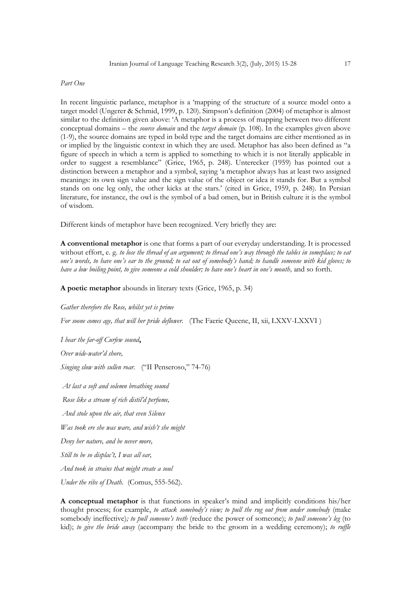#### *Part One*

In recent linguistic parlance, metaphor is a 'mapping of the structure of a source model onto a target model (Ungerer & Schmid, 1999, p. 120). Simpson's definition (2004) of metaphor is almost similar to the definition given above: 'A metaphor is a process of mapping between two different conceptual domains – the *source domain* and the *target domain* (p. 108). In the examples given above (1-9), the source domains are typed in bold type and the target domains are either mentioned as in or implied by the linguistic context in which they are used. Metaphor has also been defined as "a figure of speech in which a term is applied to something to which it is not literally applicable in order to suggest a resemblance" (Grice, 1965, p. 248). Unterecker (1959) has pointed out a distinction between a metaphor and a symbol, saying 'a metaphor always has at least two assigned meanings: its own sign value and the sign value of the object or idea it stands for. But a symbol stands on one leg only, the other kicks at the stars.' (cited in Grice, 1959, p. 248). In Persian literature, for instance, the owl is the symbol of a bad omen, but in British culture it is the symbol of wisdom.

Different kinds of metaphor have been recognized. Very briefly they are:

**A conventional metaphor** is one that forms a part of our everyday understanding. It is processed without effort, e. g. *to lose the thread of an argument; to thread one's way through the tables in someplace; to eat one's words, to have one's ear to the ground; to eat out of somebody's hand; to handle someone with kid gloves; to have a low boiling point, to give someone a cold shoulder; to have one's heart in one's mouth,* and so forth.

**A poetic metaphor** abounds in literary texts (Grice, 1965, p. 34)

*Gather therefore the Rose, whilst yet is prime*

*For soone comes age, that will her pride deflower.*(The Faerie Queene, II, xii, LXXV-LXXVI )

*I hear the far-off Curfew sound***,**

*Over wide-water'd shore,*

*Singing slow with sullen roar.*("II Penseroso," 74-76)

*At last a soft and solemn breathing sound Rose like a stream of rich distil'd perfume, And stole upon the air, that even Silence Was took ere she was ware, and wish't she might Deny her nature, and be never more, Still to be so displac't, I was all ear, And took in strains that might create a soul*

*Under the ribs of Death.* (Comus, 555-562).

**A conceptual metaphor** is that functions in speaker's mind and implicitly conditions his/her thought process; for example, *to attack somebody's view; to pull the rug out from under somebody* (make somebody ineffective)*; to pull someone's teeth* (reduce the power of someone); *to pull someone's leg* (to kid); *to give the bride away* (accompany the bride to the groom in a wedding ceremony); *to ruffle*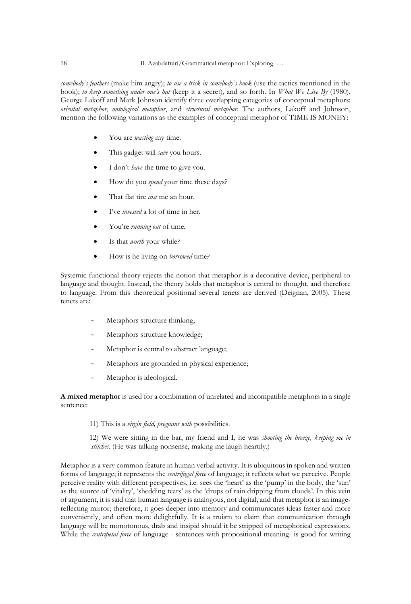*somebody's feathers* (make him angry); *to use a trick in somebody's book* (use the tactics mentioned in the book); *to keep something under one's hat* (keep it a secret), and so forth. In *What We Live By* (1980), George Lakoff and Mark Johnson identify three overlapping categories of conceptual metaphors: *oriental metaphor*, *ontological metaphor*, and *structural metaphor*. The authors, Lakoff and Johnson, mention the following variations as the examples of conceptual metaphor of TIME IS MONEY:

- You are *wasting* my time.
- This gadget will *save* you hours.
- I don't *have* the time to give you.
- How do you *spend* your time these days?
- That flat tire *cost* me an hour.
- I've *invested* a lot of time in her.
- You're *running out* of time.
- Is that *worth* your while?
- How is he living on *borrowed* time?

Systemic functional theory rejects the notion that metaphor is a decorative device, peripheral to language and thought. Instead, the theory holds that metaphor is central to thought, and therefore to language. From this theoretical positional several tenets are derived (Deignan, 2005). These tenets are:

- Metaphors structure thinking;
- Metaphors structure knowledge;
- Metaphor is central to abstract language;
- Metaphors are grounded in physical experience;
- Metaphor is ideological.

**A mixed metaphor** is used for a combination of unrelated and incompatible metaphors in a single sentence:

11) This is a *virgin field, pregnant with* possibilities.

 12) We were sitting in the bar, my friend and I, he was *shooting the breeze, keeping me in stitches.* (He was talking nonsense, making me laugh heartily.)

Metaphor is a very common feature in human verbal activity. It is ubiquitous in spoken and written forms of language; it represents the *centrifugal force* of language; it reflects what we perceive. People perceive reality with different perspectives, i.e. sees the 'heart' as the 'pump' in the body, the 'sun' as the source of 'vitality', 'shedding tears' as the 'drops of rain dripping from clouds'. In this vein of argument, it is said that human language is analogous, not digital, and that metaphor is an imagereflecting mirror; therefore, it goes deeper into memory and communicates ideas faster and more conveniently, and often more delightfully. It is a truism to claim that communication through language will be monotonous, drab and insipid should it be stripped of metaphorical expressions. While the *centripetal force* of language - sentences with propositional meaning- is good for writing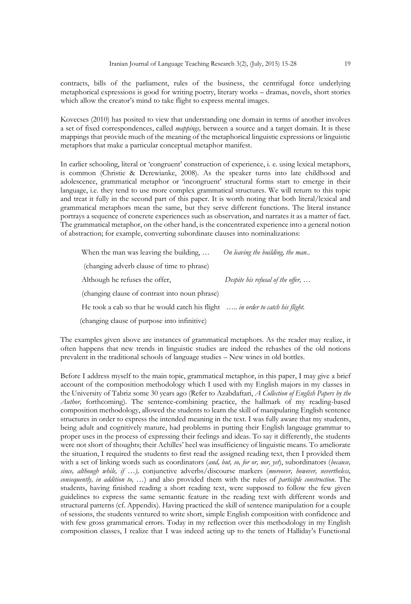contracts, bills of the parliament, rules of the business, the centrifugal force underlying metaphorical expressions is good for writing poetry, literary works – dramas, novels, short stories which allow the creator's mind to take flight to express mental images.

Kovecses (2010) has posited to view that understanding one domain in terms of another involves a set of fixed correspondences, called *mappings,* between a source and a target domain. It is these mappings that provide much of the meaning of the metaphorical linguistic expressions or linguistic metaphors that make a particular conceptual metaphor manifest.

In earlier schooling, literal or 'congruent' construction of experience, i. e. using lexical metaphors, is common (Christie & Derewianke, 2008). As the speaker turns into late childhood and adolescence, grammatical metaphor or 'incongruent' structural forms start to emerge in their language, i.e. they tend to use more complex grammatical structures. We will return to this topic and treat it fully in the second part of this paper. It is worth noting that both literal/lexical and grammatical metaphors mean the same, but they serve different functions. The literal instance portrays a sequence of concrete experiences such as observation, and narrates it as a matter of fact. The grammatical metaphor, on the other hand, is the concentrated experience into a general notion of abstraction; for example, converting subordinate clauses into nominalizations:

| When the man was leaving the building,                                                 | On leaving the building, the man          |
|----------------------------------------------------------------------------------------|-------------------------------------------|
| (changing adverb clause of time to phrase)                                             |                                           |
| Although he refuses the offer.                                                         | Despite his refusal of the offer, $\dots$ |
| (changing clause of contrast into noun phrase)                                         |                                           |
| He took a cab so that he would catch his flight $\ldots$ in order to catch his flight. |                                           |
| (changing clause of purpose into infinitive)                                           |                                           |

The examples given above are instances of grammatical metaphors. As the reader may realize, it often happens that new trends in linguistic studies are indeed the rehashes of the old notions prevalent in the traditional schools of language studies – New wines in old bottles.

Before I address myself to the main topic, grammatical metaphor, in this paper, I may give a brief account of the composition methodology which I used with my English majors in my classes in the University of Tabriz some 30 years ago (Refer to Azabdaftari, *A Collection of English Papers by the Author,* forthcoming). The sentence-combining practice, the hallmark of my reading-based composition methodology, allowed the students to learn the skill of manipulating English sentence structures in order to express the intended meaning in the text. I was fully aware that my students, being adult and cognitively mature, had problems in putting their English language grammar to proper uses in the process of expressing their feelings and ideas. To say it differently, the students were not short of thoughts; their Achilles' heel was insufficiency of linguistic means. To ameliorate the situation, I required the students to first read the assigned reading text, then I provided them with a set of linking words such as coordinators (*and, but, so, for or, nor, yet*), subordinators (*because, since, although while, if …),* conjunctive adverbs/discourse markers (*moreover, however, nevertheless, consequently, in addition to, …*) and also provided them with the rules of *participle construction*. The students, having finished reading a short reading text, were supposed to follow the few given guidelines to express the same semantic feature in the reading text with different words and structural patterns (cf. Appendix). Having practiced the skill of sentence manipulation for a couple of sessions, the students ventured to write short, simple English composition with confidence and with few gross grammatical errors. Today in my reflection over this methodology in my English composition classes, I realize that I was indeed acting up to the tenets of Halliday's Functional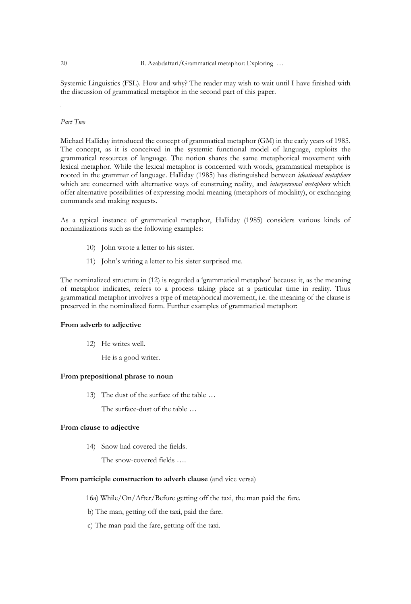Systemic Linguistics (FSL). How and why? The reader may wish to wait until I have finished with the discussion of grammatical metaphor in the second part of this paper.

#### *Part Two*

Michael Halliday introduced the concept of grammatical metaphor (GM) in the early years of 1985. The concept, as it is conceived in the systemic functional model of language, exploits the grammatical resources of language. The notion shares the same metaphorical movement with lexical metaphor. While the lexical metaphor is concerned with words, grammatical metaphor is rooted in the grammar of language. Halliday (1985) has distinguished between *ideational metaphors* which are concerned with alternative ways of construing reality, and *interpersonal metaphors* which offer alternative possibilities of expressing modal meaning (metaphors of modality), or exchanging commands and making requests.

As a typical instance of grammatical metaphor, Halliday (1985) considers various kinds of nominalizations such as the following examples:

- 10) John wrote a letter to his sister.
- 11) John's writing a letter to his sister surprised me.

The nominalized structure in (12) is regarded a 'grammatical metaphor' because it, as the meaning of metaphor indicates, refers to a process taking place at a particular time in reality. Thus grammatical metaphor involves a type of metaphorical movement, i.e. the meaning of the clause is preserved in the nominalized form. Further examples of grammatical metaphor:

#### **From adverb to adjective**

- 12) He writes well.
	- He is a good writer.

# **From prepositional phrase to noun**

13) The dust of the surface of the table …

The surface-dust of the table …

#### **From clause to adjective**

14) Snow had covered the fields.

The snow-covered fields ….

# **From participle construction to adverb clause** (and vice versa)

- 16a) While/On/After/Before getting off the taxi, the man paid the fare.
- b) The man, getting off the taxi, paid the fare.
- c) The man paid the fare, getting off the taxi.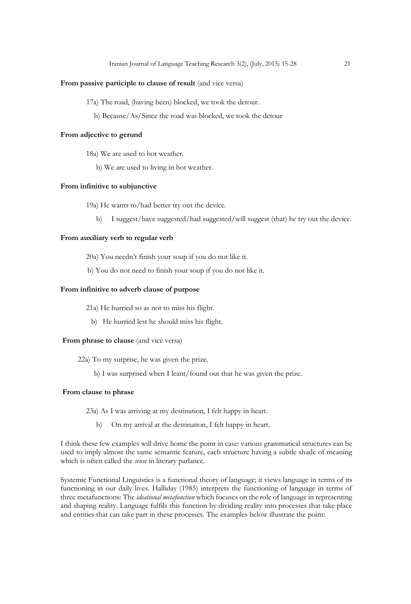#### From passive participle to clause of result (and vice versa)

- 17a) The road, (having been) blocked, we took the detour.
	- b) Because/As/Since the road was blocked, we took the detour

#### **From adjective to gerund**

- 18a) We are used to hot weather.
	- b) We are used to living in hot weather.

# **From infinitive to subjunctive**

- 19a) He wants to/had better try out the device.
	- b) I suggest/have suggested/had suggested/will suggest (that) he try out the device.

# **From auxiliary verb to regular verb**

- 20a) You needn't finish your soup if you do not like it.
- b) You do not need to finish your soup if you do not like it.

#### **From infinitive to adverb clause of purpose**

- 21a) He hurried so as not to miss his flight.
	- b) He hurried lest he should miss his flight.

#### **From phrase to clause** (and vice versa)

- 22a) To my surprise, he was given the prize.
	- b) I was surprised when I leant/found out that he was given the prize.

#### **From clause to phrase**

- 23a) As I was arriving at my destination, I felt happy in heart.
	- b) On my arrival at the destination, I felt happy in heart.

I think these few examples will drive home the point in case: various grammatical structures can be used to imply almost the same semantic feature, each structure having a subtle shade of meaning which is often called the *sense* in literary parlance.

Systemic Functional Linguistics is a functional theory of language; it views language in terms of its functioning in our daily lives. Halliday (1985) interprets the functioning of language in terms of three metafunctions: The *ideational metafunction* which focuses on the role of language in representing and shaping reality. Language fulfils this function by dividing reality into processes that take place and entities that can take part in these processes. The examples below illustrate the point: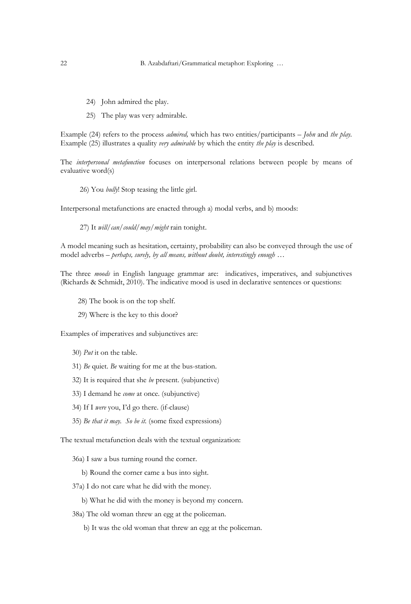- 24) John admired the play.
- 25) The play was very admirable.

Example (24) refers to the process *admired,* which has two entities/participants – *John* and *the play.*  Example (25) illustrates a quality *very admirable* by which the entity *the play* is described.

The *interpersonal metafunction* focuses on interpersonal relations between people by means of evaluative word(s)

26) You *bully*! Stop teasing the little girl.

Interpersonal metafunctions are enacted through a) modal verbs, and b) moods:

27) It *will*/*can*/*could*/*may*/*might* rain tonight.

A model meaning such as hesitation, certainty, probability can also be conveyed through the use of model adverbs – *perhaps, surely, by all means, without doubt, interestingly enough …*

The three *moods* in English language grammar are: indicatives, imperatives, and subjunctives (Richards & Schmidt, 2010). The indicative mood is used in declarative sentences or questions:

- 28) The book is on the top shelf.
- 29) Where is the key to this door?

Examples of imperatives and subjunctives are:

- 30) *Put* it on the table.
- 31) *Be* quiet. *Be* waiting for me at the bus-station.
- 32) It is required that she *be* present. (subjunctive)
- 33) I demand he *come* at once. (subjunctive)
- 34) If I *were* you, I'd go there. (if-clause)
- 35) *Be that it may. So be it.* (some fixed expressions)

The textual metafunction deals with the textual organization:

- 36a) I saw a bus turning round the corner.
	- b) Round the corner came a bus into sight.
- 37a) I do not care what he did with the money.
	- b) What he did with the money is beyond my concern.
- 38a) The old woman threw an egg at the policeman.
	- b) It was the old woman that threw an egg at the policeman.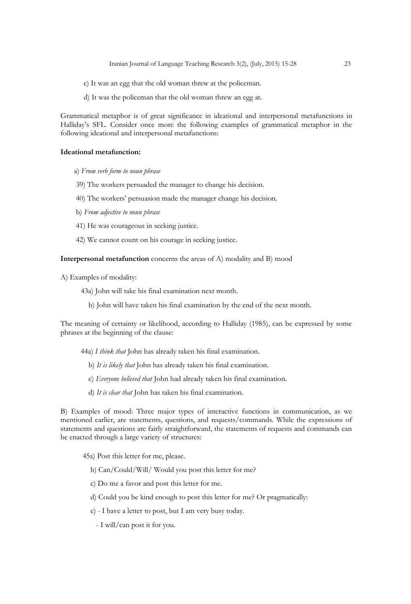Iranian Journal of Language Teaching Research 3(2), (July, 2015) 15-28 23

- c) It was an egg that the old woman threw at the policeman.
- d) It was the policeman that the old woman threw an egg at.

Grammatical metaphor is of great significance in ideational and interpersonal metafunctions in Halliday's SFL. Consider once more the following examples of grammatical metaphor in the following ideational and interpersonal metafunctions:

#### **Ideational metafunction:**

- a) *From verb form to noun phrase*
- 39) The workers persuaded the manager to change his decision.
- 40) The workers' persuasion made the manager change his decision.
- b) *From adjective to noun phrase*
- 41) He was courageous in seeking justice.
- 42) We cannot count on his courage in seeking justice.

**Interpersonal metafunction** concerns the areas of A) modality and B) mood

A) Examples of modality:

- 43a) John will take his final examination next month.
	- b) John will have taken his final examination by the end of the next month.

The meaning of certainty or likelihood, according to Halliday (1985), can be expressed by some phrases at the beginning of the clause:

- 44a) *I think that* John has already taken his final examination.
	- b) *It is likely that* John has already taken his final examination.
	- c) *Everyone believed that* John had already taken his final examination.
	- d) *It is clear that* John has taken his final examination.

B) Examples of mood: Three major types of interactive functions in communication, as we mentioned earlier, are statements, questions, and requests/commands. While the expressions of statements and questions are fairly straightforward, the statements of requests and commands can be enacted through a large variety of structures:

- 45a) Post this letter for me, please.
	- b) Can/Could/Will/ Would you post this letter for me?
	- c) Do me a favor and post this letter for me.
	- d) Could you be kind enough to post this letter for me? Or pragmatically:
	- e) I have a letter to post, but I am very busy today.
		- I will/can post it for you.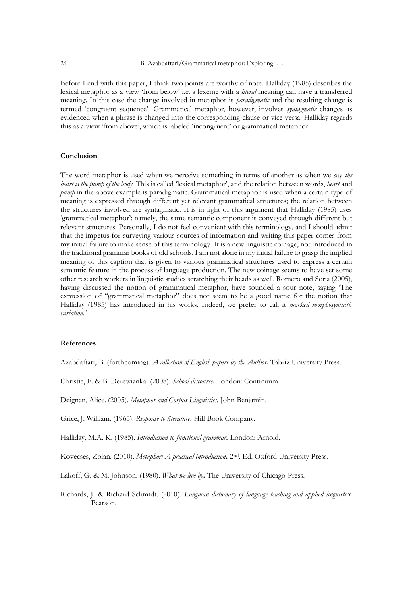Before I end with this paper, I think two points are worthy of note. Halliday (1985) describes the lexical metaphor as a view 'from below' i.e. a lexeme with a *literal* meaning can have a transferred meaning. In this case the change involved in metaphor is *paradigmatic* and the resulting change is termed 'congruent sequence'. Grammatical metaphor, however, involves *syntagmatic* changes as evidenced when a phrase is changed into the corresponding clause or vice versa. Halliday regards this as a view 'from above', which is labeled 'incongruent' or grammatical metaphor.

#### **Conclusion**

The word metaphor is used when we perceive something in terms of another as when we say *the heart is the pump of the body.* This is called 'lexical metaphor', and the relation between words, *heart* and *pump* in the above example is paradigmatic. Grammatical metaphor is used when a certain type of meaning is expressed through different yet relevant grammatical structures; the relation between the structures involved are syntagmatic. It is in light of this argument that Halliday (1985) uses 'grammatical metaphor'; namely, the same semantic component is conveyed through different but relevant structures. Personally, I do not feel convenient with this terminology, and I should admit that the impetus for surveying various sources of information and writing this paper comes from my initial failure to make sense of this terminology. It is a new linguistic coinage, not introduced in the traditional grammar books of old schools. I am not alone in my initial failure to grasp the implied meaning of this caption that is given to various grammatical structures used to express a certain semantic feature in the process of language production. The new coinage seems to have set some other research workers in linguistic studies scratching their heads as well. Romero and Soria (2005), having discussed the notion of grammatical metaphor, have sounded a sour note, saying 'The expression of "grammatical metaphor" does not seem to be a good name for the notion that Halliday (1985) has introduced in his works. Indeed, we prefer to call it *marked morphosyntactic variation.'*

#### **References**

Azabdaftari, B. (forthcoming). *A collection of English papers by the Author***.** Tabriz University Press.

Christie, F. & B. Derewianka. (2008). *School discourse***.** London: Continuum.

Deignan, Alice. (2005). *Metaphor and Corpus Linguistics.* John Benjamin.

Grice, J. William. (1965). *Response to literature***.** Hill Book Company.

Halliday, M.A. K. (1985). *Introduction to functional grammar***.** London: Arnold.

Kovecses, Zolan. (2010). *Metaphor: A practical introduction***.** 2nd. Ed. Oxford University Press.

Lakoff, G. & M. Johnson. (1980). *What we live by***.** The University of Chicago Press.

Richards, J. & Richard Schmidt. (2010). *Longman dictionary of language teaching and applied linguistics.*  Pearson.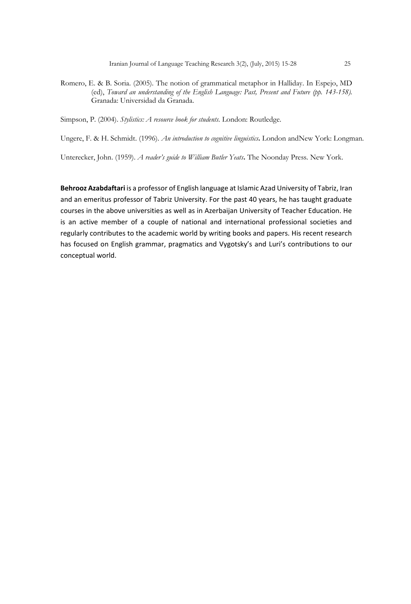Romero, E. & B. Soria. (2005). The notion of grammatical metaphor in Halliday. In Espejo, MD (ed), *Toward an understanding of the English Language: Past, Present and Future (pp. 143-158).*  Granada: Universidad da Granada.

Simpson, P. (2004). *Stylistics: A resource book for students.* London: Routledge.

Ungere, F. & H. Schmidt. (1996). *An introduction to cognitive linguistics***.** London andNew York: Longman.

Unterecker, John. (1959). *A reader's guide to William Butler Yeats***.** The Noonday Press. New York.

**Behrooz Azabdaftari** is a professor of English language at Islamic Azad University of Tabriz, Iran and an emeritus professor of Tabriz University. For the past 40 years, he has taught graduate courses in the above universities as well as in Azerbaijan University of Teacher Education. He is an active member of a couple of national and international professional societies and regularly contributes to the academic world by writing books and papers. His recent research has focused on English grammar, pragmatics and Vygotsky's and Luri's contributions to our conceptual world.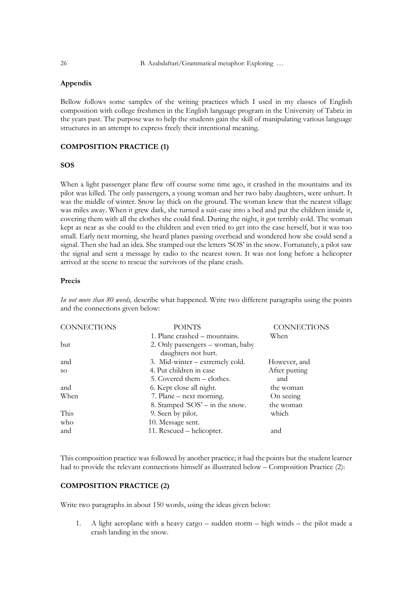# **Appendix**

Bellow follows some samples of the writing practices which I used in my classes of English composition with college freshmen in the English language program in the University of Tabriz in the years past. The purpose was to help the students gain the skill of manipulating various language structures in an attempt to express freely their intentional meaning.

# **COMPOSITION PRACTICE (1)**

# **SOS**

When a light passenger plane flew off course some time ago, it crashed in the mountains and its pilot was killed. The only passengers, a young woman and her two baby daughters, were unhurt. It was the middle of winter. Snow lay thick on the ground. The woman knew that the nearest village was miles away. When it grew dark, she turned a suit-case into a bed and put the children inside it, covering them with all the clothes she could find. During the night, it got terribly cold. The woman kept as near as she could to the children and even tried to get into the case herself, but it was too small. Early next morning, she heard planes passing overhead and wondered how she could send a signal. Then she had an idea. She stamped out the letters 'SOS' in the snow. Fortunately, a pilot saw the signal and sent a message by radio to the nearest town. It was not long before a helicopter arrived at the scene to rescue the survivors of the plane crash.

# **Precis**

*In not more than 80 words,* describe what happened. Write two different paragraphs using the points and the connections given below:

| <b>CONNECTIONS</b> | <b>POINTS</b>                                           | <b>CONNECTIONS</b> |
|--------------------|---------------------------------------------------------|--------------------|
|                    | 1. Plane crashed – mountains.                           | When               |
| but                | 2. Only passengers – woman, baby<br>daughters not hurt. |                    |
| and                | 3. Mid-winter – extremely cold.                         | However, and       |
| SO.                | 4. Put children in case                                 | After putting      |
|                    | 5. Covered them – clothes.                              | and                |
| and                | 6. Kept close all night.                                | the woman          |
| When               | 7. Plane – next morning.                                | On seeing          |
|                    | 8. Stamped 'SOS' $-$ in the snow.                       | the woman          |
| This               | 9. Seen by pilot.                                       | which              |
| who                | 10. Message sent.                                       |                    |
| and                | 11. Rescued – helicopter.                               | and                |

This composition practice was followed by another practice; it had the points but the student learner had to provide the relevant connections himself as illustrated below – Composition Practice (2):

#### **COMPOSITION PRACTICE (2)**

Write two paragraphs in about 150 words, using the ideas given below:

1. A light aeroplane with a heavy cargo – sudden storm – high winds – the pilot made a crash landing in the snow.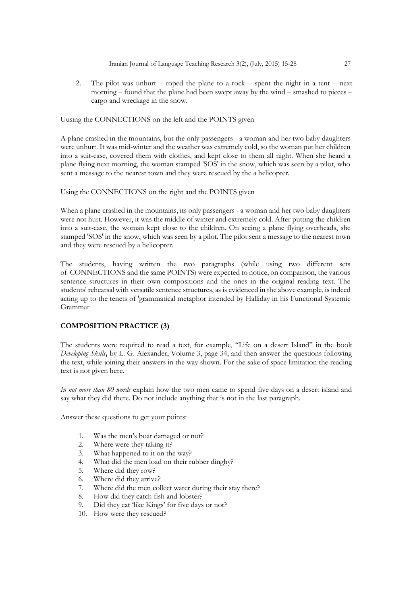2. The pilot was unhurt – roped the plane to a rock – spent the night in a tent – next morning – found that the plane had been swept away by the wind – smashed to pieces – cargo and wreckage in the snow.

Uusing the CONNECTIONS on the left and the POINTS given

A plane crashed in the mountains, but the only passengers - a woman and her two baby daughters were unhurt. It was mid-winter and the weather was extremely cold, so the woman put her children into a suit-case, covered them with clothes, and kept close to them all night. When she heard a plane flying next morning, the woman stamped 'SOS' in the snow, which was seen by a pilot, who sent a message to the nearest town and they were rescued by the a helicopter.

Using the CONNECTIONS on the right and the POINTS given

When a plane crashed in the mountains, its only passengers - a woman and her two baby daughters were not hurt. However, it was the middle of winter and extremely cold. After putting the children into a suit-case, the woman kept close to the children. On seeing a plane flying overheads, she stamped 'SOS' in the snow, which was seen by a pilot. The pilot sent a message to the nearest town and they were rescued by a helicopter.

The students, having written the two paragraphs (while using two different sets of CONNECTIONS and the same POINTS) were expected to notice, on comparison, the various sentence structures in their own compositions and the ones in the original reading text. The students' rehearsal with versatile sentence structures, as is evidenced in the above example, is indeed acting up to the tenets of 'grammatical metaphor intended by Halliday in his Functional Systemic Grammar

#### **COMPOSITION PRACTICE (3)**

The students were required to read a text, for example, "Life on a desert Island" in the book *Developing Skills***,** by L. G. Alexander, Volume 3, page 34, and then answer the questions following the text, while joining their answers in the way shown. For the sake of space limitation the reading text is not given here.

*In not more than 80 words* explain how the two men came to spend five days on a desert island and say what they did there. Do not include anything that is not in the last paragraph.

Answer these questions to get your points:

- 1. Was the men's boat damaged or not?
- 2. Where were they taking it?
- 3. What happened to it on the way?
- 4. What did the men load on their rubber dinghy?
- 5. Where did they row?
- 6. Where did they arrive?
- 7. Where did the men collect water during their stay there?
- 8. How did they catch fish and lobster?
- 9. Did they eat 'like Kings' for five days or not?
- 10. How were they rescued?